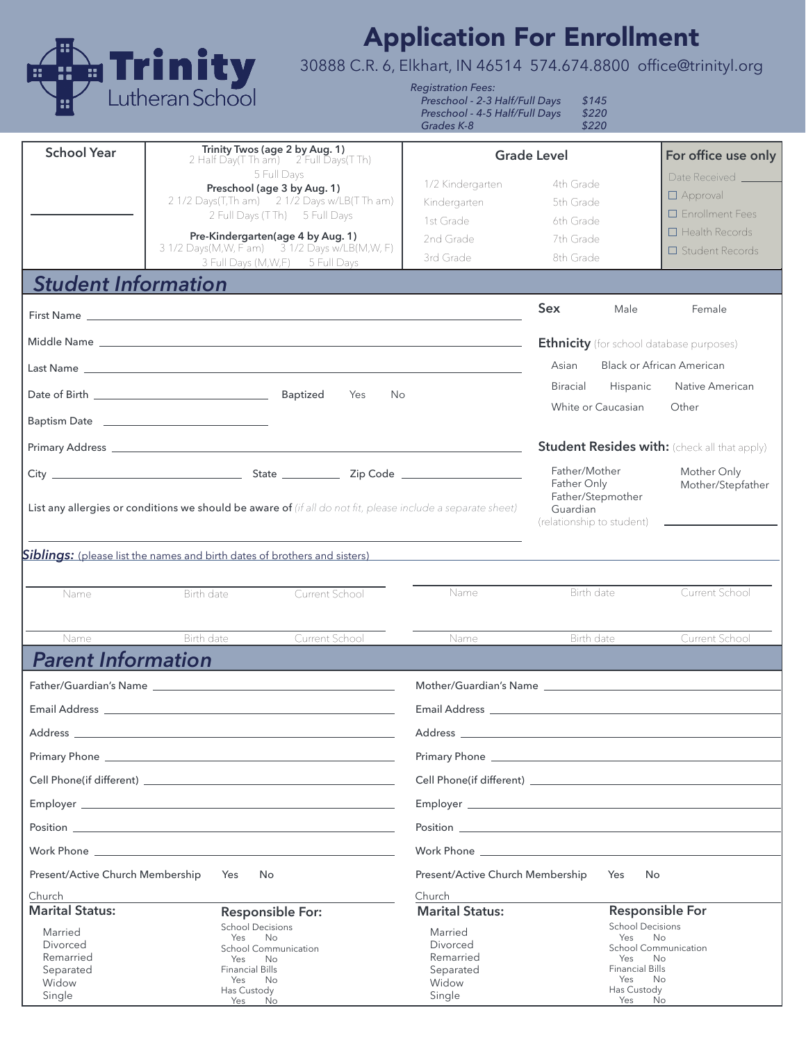

## Application For Enrollment

30888 C.R. 6, Elkhart, IN 46514 574.674.8800 office@trinityl.org

*Registration Fees: Preschool - 2-3 Half/Full Days \$145*

*Preschool - 4-5 Half/Full Days \$220* Grades K-8

| <b>School Year</b>                                                                                          | Trinity Twos (age 2 by Aug. 1)<br><b>Grade Level</b><br>2 Half Day(T Th am) 2 Full Days(T Th)                                                                                                                                       |                                                                                                                |                                                                                                                                         | For office use only                               |                                                            |
|-------------------------------------------------------------------------------------------------------------|-------------------------------------------------------------------------------------------------------------------------------------------------------------------------------------------------------------------------------------|----------------------------------------------------------------------------------------------------------------|-----------------------------------------------------------------------------------------------------------------------------------------|---------------------------------------------------|------------------------------------------------------------|
|                                                                                                             | 5 Full Days<br>Preschool (age 3 by Aug. 1)<br>2 1/2 Days(T,Th am) 2 1/2 Days w/LB(T Th am)<br>2 Full Days (TTh) 5 Full Days                                                                                                         | 1/2 Kindergarten<br>Kindergarten<br>1st Grade                                                                  | 4th Grade<br>5th Grade<br>6th Grade                                                                                                     |                                                   | Date Received<br>$\Box$ Approval<br>$\Box$ Enrollment Fees |
|                                                                                                             | Pre-Kindergarten(age 4 by Aug. 1)<br>3 1/2 Days(M, W, F am) 3 1/2 Days w/LB(M, W, F)                                                                                                                                                | 2nd Grade<br>3rd Grade                                                                                         | 7th Grade<br>8th Grade                                                                                                                  |                                                   | $\Box$ Health Records<br>$\Box$ Student Records            |
| <b>Student Information</b>                                                                                  | 3 Full Days (M, W, F) 5 Full Days                                                                                                                                                                                                   |                                                                                                                |                                                                                                                                         |                                                   |                                                            |
|                                                                                                             |                                                                                                                                                                                                                                     |                                                                                                                | <b>Sex</b>                                                                                                                              | Male                                              | Female                                                     |
|                                                                                                             |                                                                                                                                                                                                                                     |                                                                                                                |                                                                                                                                         |                                                   |                                                            |
|                                                                                                             |                                                                                                                                                                                                                                     |                                                                                                                |                                                                                                                                         |                                                   | <b>Ethnicity</b> (for school database purposes)            |
|                                                                                                             |                                                                                                                                                                                                                                     |                                                                                                                | <b>Black or African American</b><br>Asian<br>Native American<br><b>Biracial</b><br>Hispanic                                             |                                                   |                                                            |
|                                                                                                             | Yes<br>No.                                                                                                                                                                                                                          |                                                                                                                |                                                                                                                                         | White or Caucasian                                | Other                                                      |
|                                                                                                             | Baptism Date _________________________________                                                                                                                                                                                      |                                                                                                                |                                                                                                                                         |                                                   |                                                            |
|                                                                                                             |                                                                                                                                                                                                                                     |                                                                                                                | <b>Student Resides with:</b> (check all that apply)                                                                                     |                                                   |                                                            |
| List any allergies or conditions we should be aware of (if all do not fit, please include a separate sheet) |                                                                                                                                                                                                                                     |                                                                                                                | Father/Mother<br>Mother Only<br>Father Only<br>Mother/Stepfather<br>Father/Stepmother<br>Guardian<br>$(relationship to student)$ $\_\_$ |                                                   |                                                            |
| Name<br>Name                                                                                                | Current School<br>Birth date<br>Birth date<br>Current School                                                                                                                                                                        | Name                                                                                                           |                                                                                                                                         | Birth date<br>Birth date                          | Current School<br>Current School                           |
| <b>Parent Information</b>                                                                                   |                                                                                                                                                                                                                                     |                                                                                                                |                                                                                                                                         |                                                   |                                                            |
|                                                                                                             | Father/Guardian's Name that the control of the control of the control of the control of the control of the control of the control of the control of the control of the control of the control of the control of the control of      | Mother/Guardian's Name Law and the Contract of the Contract of the Contract of the Contract of the Contract of |                                                                                                                                         |                                                   |                                                            |
|                                                                                                             |                                                                                                                                                                                                                                     |                                                                                                                |                                                                                                                                         |                                                   |                                                            |
| Address                                                                                                     |                                                                                                                                                                                                                                     | Address                                                                                                        |                                                                                                                                         |                                                   |                                                            |
|                                                                                                             |                                                                                                                                                                                                                                     |                                                                                                                |                                                                                                                                         |                                                   |                                                            |
|                                                                                                             |                                                                                                                                                                                                                                     |                                                                                                                |                                                                                                                                         |                                                   |                                                            |
|                                                                                                             |                                                                                                                                                                                                                                     |                                                                                                                |                                                                                                                                         |                                                   |                                                            |
|                                                                                                             | Position Position Position Provides and the contract of the contract of the contract of the contract of the contract of the contract of the contract of the contract of the contract of the contract of the contract of the co      |                                                                                                                |                                                                                                                                         |                                                   |                                                            |
|                                                                                                             | Work Phone <b>Warehouse State State State State</b> State State State State State State State State State State State State State State State State State State State State State State State State State State State State State S |                                                                                                                |                                                                                                                                         |                                                   |                                                            |
| Present/Active Church Membership                                                                            | Yes<br>No.                                                                                                                                                                                                                          | Present/Active Church Membership                                                                               |                                                                                                                                         | Yes<br><b>No</b>                                  |                                                            |
| Church                                                                                                      |                                                                                                                                                                                                                                     | Church                                                                                                         |                                                                                                                                         |                                                   |                                                            |
| <b>Marital Status:</b>                                                                                      | <b>Responsible For:</b><br><b>School Decisions</b>                                                                                                                                                                                  | <b>Marital Status:</b>                                                                                         |                                                                                                                                         | <b>Responsible For</b><br><b>School Decisions</b> |                                                            |
| Married<br>Divorced                                                                                         | Yes<br><b>No</b><br><b>School Communication</b>                                                                                                                                                                                     | Married<br>Divorced                                                                                            |                                                                                                                                         | Yes<br><b>No</b><br><b>School Communication</b>   |                                                            |
| Remarried                                                                                                   | Yes<br>No                                                                                                                                                                                                                           | Remarried                                                                                                      |                                                                                                                                         | Yes<br>No                                         |                                                            |
| Separated<br>Widow                                                                                          | <b>Financial Bills</b><br>Yes<br><b>No</b>                                                                                                                                                                                          | Separated<br>Widow                                                                                             |                                                                                                                                         | <b>Financial Bills</b><br>Yes<br><b>No</b>        |                                                            |
| Single                                                                                                      | Has Custody<br>Yes<br>No                                                                                                                                                                                                            | Single                                                                                                         |                                                                                                                                         | Has Custody<br>Yes<br>No                          |                                                            |